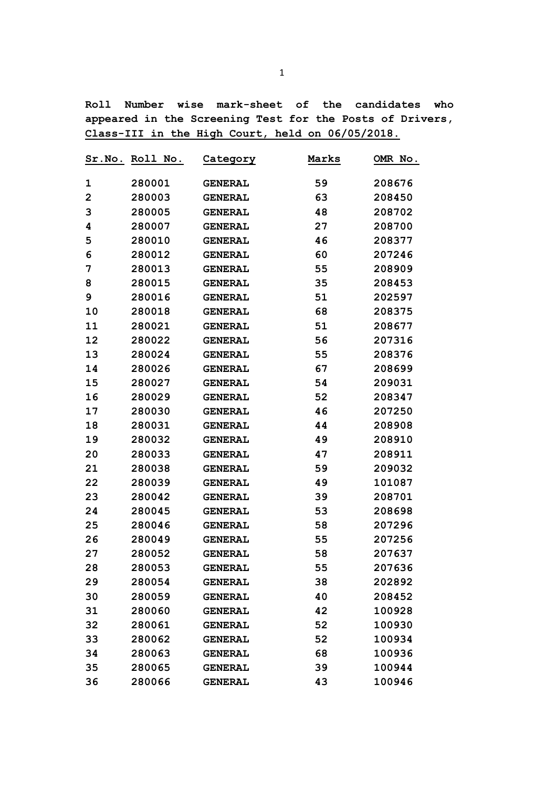**Roll Number wise mark-sheet of the candidates who appeared in the Screening Test for the Posts of Drivers, Class-III in the High Court, held on 06/05/2018.** 

|             | Sr.No. Roll No. | Category       | Marks | OMR No. |
|-------------|-----------------|----------------|-------|---------|
| 1           | 280001          | <b>GENERAL</b> | 59    | 208676  |
| $\mathbf 2$ | 280003          | <b>GENERAL</b> | 63    | 208450  |
| 3           | 280005          | <b>GENERAL</b> | 48    | 208702  |
| 4           | 280007          | <b>GENERAL</b> | 27    | 208700  |
| 5           | 280010          | <b>GENERAL</b> | 46    | 208377  |
| 6           | 280012          | <b>GENERAL</b> | 60    | 207246  |
| 7           | 280013          | <b>GENERAL</b> | 55    | 208909  |
| 8           | 280015          | <b>GENERAL</b> | 35    | 208453  |
| 9           | 280016          | <b>GENERAL</b> | 51    | 202597  |
| 10          | 280018          | <b>GENERAL</b> | 68    | 208375  |
| 11          | 280021          | <b>GENERAL</b> | 51    | 208677  |
| 12          | 280022          | <b>GENERAL</b> | 56    | 207316  |
| 13          | 280024          | <b>GENERAL</b> | 55    | 208376  |
| 14          | 280026          | <b>GENERAL</b> | 67    | 208699  |
| 15          | 280027          | <b>GENERAL</b> | 54    | 209031  |
| 16          | 280029          | <b>GENERAL</b> | 52    | 208347  |
| 17          | 280030          | <b>GENERAL</b> | 46    | 207250  |
| 18          | 280031          | <b>GENERAL</b> | 44    | 208908  |
| 19          | 280032          | <b>GENERAL</b> | 49    | 208910  |
| 20          | 280033          | <b>GENERAL</b> | 47    | 208911  |
| 21          | 280038          | <b>GENERAL</b> | 59    | 209032  |
| 22          | 280039          | <b>GENERAL</b> | 49    | 101087  |
| 23          | 280042          | <b>GENERAL</b> | 39    | 208701  |
| 24          | 280045          | <b>GENERAL</b> | 53    | 208698  |
| 25          | 280046          | <b>GENERAL</b> | 58    | 207296  |
| 26          | 280049          | <b>GENERAL</b> | 55    | 207256  |
| 27          | 280052          | <b>GENERAL</b> | 58    | 207637  |
| 28          | 280053          | <b>GENERAL</b> | 55    | 207636  |
| 29          | 280054          | <b>GENERAL</b> | 38    | 202892  |
| 30          | 280059          | <b>GENERAL</b> | 40    | 208452  |
| 31          | 280060          | <b>GENERAL</b> | 42    | 100928  |
| 32          | 280061          | <b>GENERAL</b> | 52    | 100930  |
| 33          | 280062          | <b>GENERAL</b> | 52    | 100934  |
| 34          | 280063          | <b>GENERAL</b> | 68    | 100936  |
| 35          | 280065          | <b>GENERAL</b> | 39    | 100944  |
| 36          | 280066          | <b>GENERAL</b> | 43    | 100946  |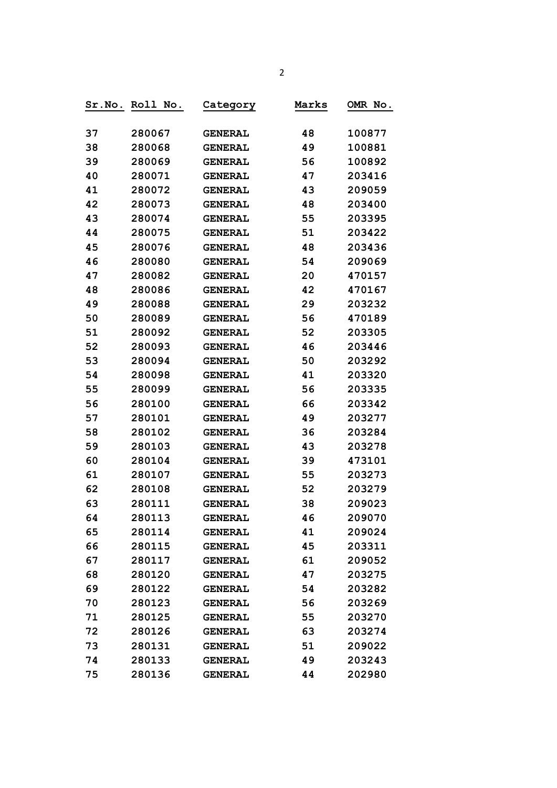| Sr.No. | <b>Roll</b><br>No. | C <u>ategory</u> | Marks | OMR No. |
|--------|--------------------|------------------|-------|---------|
|        |                    |                  |       |         |
| 37     | 280067             | <b>GENERAL</b>   | 48    | 100877  |
| 38     | 280068             | <b>GENERAL</b>   | 49    | 100881  |
| 39     | 280069             | <b>GENERAL</b>   | 56    | 100892  |
| 40     | 280071             | <b>GENERAL</b>   | 47    | 203416  |
| 41     | 280072             | <b>GENERAL</b>   | 43    | 209059  |
| 42     | 280073             | <b>GENERAL</b>   | 48    | 203400  |
| 43     | 280074             | <b>GENERAL</b>   | 55    | 203395  |
| 44     | 280075             | <b>GENERAL</b>   | 51    | 203422  |
| 45     | 280076             | <b>GENERAL</b>   | 48    | 203436  |
| 46     | 280080             | <b>GENERAL</b>   | 54    | 209069  |
| 47     | 280082             | <b>GENERAL</b>   | 20    | 470157  |
| 48     | 280086             | <b>GENERAL</b>   | 42    | 470167  |
| 49     | 280088             | <b>GENERAL</b>   | 29    | 203232  |
| 50     | 280089             | <b>GENERAL</b>   | 56    | 470189  |
| 51     | 280092             | <b>GENERAL</b>   | 52    | 203305  |
| 52     | 280093             | <b>GENERAL</b>   | 46    | 203446  |
| 53     | 280094             | <b>GENERAL</b>   | 50    | 203292  |
| 54     | 280098             | <b>GENERAL</b>   | 41    | 203320  |
| 55     | 280099             | <b>GENERAL</b>   | 56    | 203335  |
| 56     | 280100             | <b>GENERAL</b>   | 66    | 203342  |
| 57     | 280101             | <b>GENERAL</b>   | 49    | 203277  |
| 58     | 280102             | <b>GENERAL</b>   | 36    | 203284  |
| 59     | 280103             | <b>GENERAL</b>   | 43    | 203278  |
| 60     | 280104             | <b>GENERAL</b>   | 39    | 473101  |
| 61     | 280107             | <b>GENERAL</b>   | 55    | 203273  |
| 62     | 280108             | <b>GENERAL</b>   | 52    | 203279  |
| 63     | 280111             | <b>GENERAL</b>   | 38    | 209023  |
| 64     | 280113             | <b>GENERAL</b>   | 46    | 209070  |
| 65     | 280114             | <b>GENERAL</b>   | 41    | 209024  |
| 66     | 280115             | <b>GENERAL</b>   | 45    | 203311  |
| 67     | 280117             | <b>GENERAL</b>   | 61    | 209052  |
| 68     | 280120             | <b>GENERAL</b>   | 47    | 203275  |
| 69     | 280122             | <b>GENERAL</b>   | 54    | 203282  |
| 70     | 280123             | <b>GENERAL</b>   | 56    | 203269  |
| 71     | 280125             | <b>GENERAL</b>   | 55    | 203270  |
| 72     | 280126             | <b>GENERAL</b>   | 63    | 203274  |
| 73     | 280131             | <b>GENERAL</b>   | 51    | 209022  |
| 74     | 280133             | <b>GENERAL</b>   | 49    | 203243  |
| 75     | 280136             | <b>GENERAL</b>   | 44    | 202980  |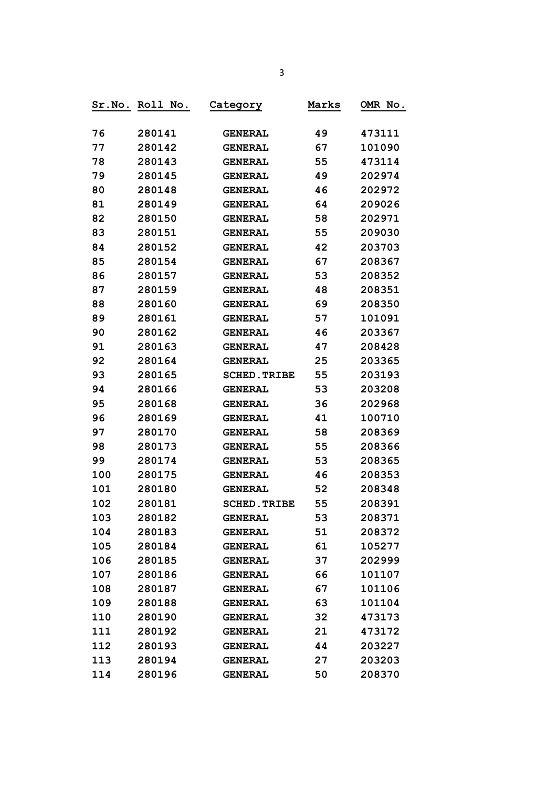|     | Sr.No. Roll No. | Category            | Marks | OMR No. |
|-----|-----------------|---------------------|-------|---------|
|     |                 |                     |       |         |
| 76  | 280141          | <b>GENERAL</b>      | 49    | 473111  |
| 77  | 280142          | <b>GENERAL</b>      | 67    | 101090  |
| 78  | 280143          | <b>GENERAL</b>      | 55    | 473114  |
| 79  | 280145          | <b>GENERAL</b>      | 49    | 202974  |
| 80  | 280148          | <b>GENERAL</b>      | 46    | 202972  |
| 81  | 280149          | <b>GENERAL</b>      | 64    | 209026  |
| 82  | 280150          | <b>GENERAL</b>      | 58    | 202971  |
| 83  | 280151          | <b>GENERAL</b>      | 55    | 209030  |
| 84  | 280152          | <b>GENERAL</b>      | 42    | 203703  |
| 85  | 280154          | <b>GENERAL</b>      | 67    | 208367  |
| 86  | 280157          | <b>GENERAL</b>      | 53    | 208352  |
| 87  | 280159          | <b>GENERAL</b>      | 48    | 208351  |
| 88  | 280160          | <b>GENERAL</b>      | 69    | 208350  |
| 89  | 280161          | <b>GENERAL</b>      | 57    | 101091  |
| 90  | 280162          | <b>GENERAL</b>      | 46    | 203367  |
| 91  | 280163          | <b>GENERAL</b>      | 47    | 208428  |
| 92  | 280164          | <b>GENERAL</b>      | 25    | 203365  |
| 93  | 280165          | <b>SCHED. TRIBE</b> | 55    | 203193  |
| 94  | 280166          | <b>GENERAL</b>      | 53    | 203208  |
| 95  | 280168          | <b>GENERAL</b>      | 36    | 202968  |
| 96  | 280169          | <b>GENERAL</b>      | 41    | 100710  |
| 97  | 280170          | <b>GENERAL</b>      | 58    | 208369  |
| 98  | 280173          | <b>GENERAL</b>      | 55    | 208366  |
| 99  | 280174          | <b>GENERAL</b>      | 53    | 208365  |
| 100 | 280175          | <b>GENERAL</b>      | 46    | 208353  |
| 101 | 280180          | <b>GENERAL</b>      | 52    | 208348  |
| 102 | 280181          | <b>SCHED. TRIBE</b> | 55    | 208391  |
| 103 | 280182          | <b>GENERAL</b>      | 53    | 208371  |
| 104 | 280183          | <b>GENERAL</b>      | 51    | 208372  |
| 105 | 280184          | <b>GENERAL</b>      | 61    | 105277  |
| 106 | 280185          | <b>GENERAL</b>      | 37    | 202999  |
| 107 | 280186          | <b>GENERAL</b>      | 66    | 101107  |
| 108 | 280187          | <b>GENERAL</b>      | 67    | 101106  |
| 109 | 280188          | <b>GENERAL</b>      | 63    | 101104  |
| 110 | 280190          | <b>GENERAL</b>      | 32    | 473173  |
| 111 | 280192          | <b>GENERAL</b>      | 21    | 473172  |
| 112 | 280193          | <b>GENERAL</b>      | 44    | 203227  |
| 113 | 280194          | <b>GENERAL</b>      | 27    | 203203  |
| 114 | 280196          | <b>GENERAL</b>      | 50    | 208370  |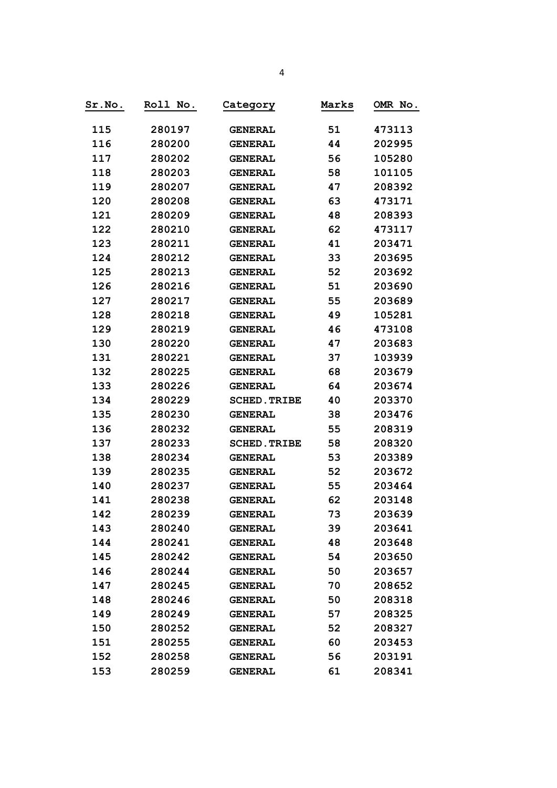| Sr.No. | Roll No. | Category            | Marks | OMR No. |
|--------|----------|---------------------|-------|---------|
| 115    | 280197   | <b>GENERAL</b>      | 51    | 473113  |
| 116    | 280200   | <b>GENERAL</b>      | 44    | 202995  |
| 117    | 280202   | <b>GENERAL</b>      | 56    | 105280  |
| 118    | 280203   | <b>GENERAL</b>      | 58    | 101105  |
| 119    | 280207   | <b>GENERAL</b>      | 47    | 208392  |
| 120    | 280208   | <b>GENERAL</b>      | 63    | 473171  |
| 121    | 280209   | <b>GENERAL</b>      | 48    | 208393  |
| 122    | 280210   | <b>GENERAL</b>      | 62    | 473117  |
| 123    | 280211   | <b>GENERAL</b>      | 41    | 203471  |
| 124    | 280212   | <b>GENERAL</b>      | 33    | 203695  |
| 125    | 280213   | <b>GENERAL</b>      | 52    | 203692  |
| 126    | 280216   | <b>GENERAL</b>      | 51    | 203690  |
| 127    | 280217   | <b>GENERAL</b>      | 55    | 203689  |
| 128    | 280218   | <b>GENERAL</b>      | 49    | 105281  |
| 129    | 280219   | <b>GENERAL</b>      | 46    | 473108  |
| 130    | 280220   | <b>GENERAL</b>      | 47    | 203683  |
| 131    | 280221   | <b>GENERAL</b>      | 37    | 103939  |
| 132    | 280225   | <b>GENERAL</b>      | 68    | 203679  |
| 133    | 280226   | <b>GENERAL</b>      | 64    | 203674  |
| 134    | 280229   | <b>SCHED. TRIBE</b> | 40    | 203370  |
| 135    | 280230   | <b>GENERAL</b>      | 38    | 203476  |
| 136    | 280232   | <b>GENERAL</b>      | 55    | 208319  |
| 137    | 280233   | <b>SCHED. TRIBE</b> | 58    | 208320  |
| 138    | 280234   | <b>GENERAL</b>      | 53    | 203389  |
| 139    | 280235   | <b>GENERAL</b>      | 52    | 203672  |
| 140    | 280237   | <b>GENERAL</b>      | 55    | 203464  |
| 141    | 280238   | <b>GENERAL</b>      | 62    | 203148  |
| 142    | 280239   | <b>GENERAL</b>      | 73    | 203639  |
| 143    | 280240   | <b>GENERAL</b>      | 39    | 203641  |
| 144    | 280241   | <b>GENERAL</b>      | 48    | 203648  |
| 145    | 280242   | <b>GENERAL</b>      | 54    | 203650  |
| 146    | 280244   | <b>GENERAL</b>      | 50    | 203657  |
| 147    | 280245   | <b>GENERAL</b>      | 70    | 208652  |
| 148    | 280246   | <b>GENERAL</b>      | 50    | 208318  |
| 149    | 280249   | <b>GENERAL</b>      | 57    | 208325  |
| 150    | 280252   | <b>GENERAL</b>      | 52    | 208327  |
| 151    | 280255   | <b>GENERAL</b>      | 60    | 203453  |
| 152    | 280258   | <b>GENERAL</b>      | 56    | 203191  |
| 153    | 280259   | <b>GENERAL</b>      | 61    | 208341  |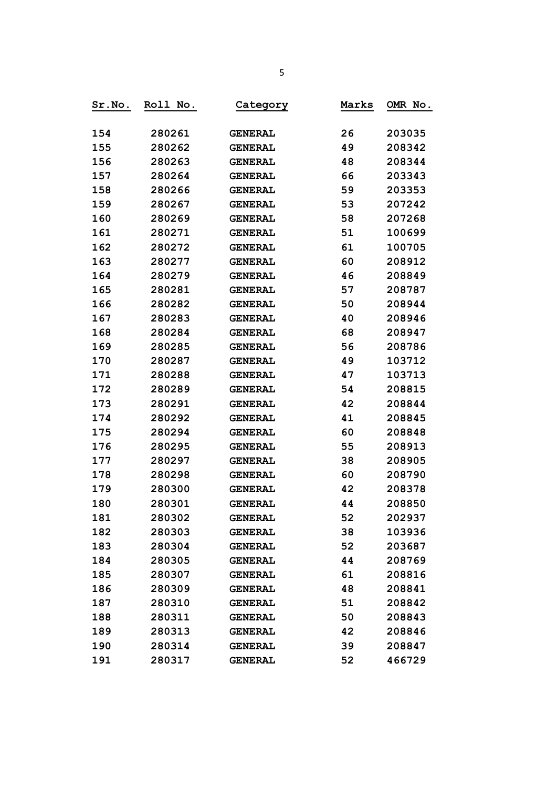| Sr.No. | Roll No. | Category       | Marks | OMR No. |
|--------|----------|----------------|-------|---------|
|        |          |                |       |         |
| 154    | 280261   | <b>GENERAL</b> | 26    | 203035  |
| 155    | 280262   | <b>GENERAL</b> | 49    | 208342  |
| 156    | 280263   | <b>GENERAL</b> | 48    | 208344  |
| 157    | 280264   | <b>GENERAL</b> | 66    | 203343  |
| 158    | 280266   | <b>GENERAL</b> | 59    | 203353  |
| 159    | 280267   | <b>GENERAL</b> | 53    | 207242  |
| 160    | 280269   | <b>GENERAL</b> | 58    | 207268  |
| 161    | 280271   | <b>GENERAL</b> | 51    | 100699  |
| 162    | 280272   | <b>GENERAL</b> | 61    | 100705  |
| 163    | 280277   | <b>GENERAL</b> | 60    | 208912  |
| 164    | 280279   | <b>GENERAL</b> | 46    | 208849  |
| 165    | 280281   | <b>GENERAL</b> | 57    | 208787  |
| 166    | 280282   | <b>GENERAL</b> | 50    | 208944  |
| 167    | 280283   | <b>GENERAL</b> | 40    | 208946  |
| 168    | 280284   | <b>GENERAL</b> | 68    | 208947  |
| 169    | 280285   | <b>GENERAL</b> | 56    | 208786  |
| 170    | 280287   | <b>GENERAL</b> | 49    | 103712  |
| 171    | 280288   | <b>GENERAL</b> | 47    | 103713  |
| 172    | 280289   | <b>GENERAL</b> | 54    | 208815  |
| 173    | 280291   | <b>GENERAL</b> | 42    | 208844  |
| 174    | 280292   | <b>GENERAL</b> | 41    | 208845  |
| 175    | 280294   | <b>GENERAL</b> | 60    | 208848  |
| 176    | 280295   | <b>GENERAL</b> | 55    | 208913  |
| 177    | 280297   | <b>GENERAL</b> | 38    | 208905  |
| 178    | 280298   | <b>GENERAL</b> | 60    | 208790  |
| 179    | 280300   | <b>GENERAL</b> | 42    | 208378  |
| 180    | 280301   | <b>GENERAL</b> | 44    | 208850  |
| 181    | 280302   | <b>GENERAL</b> | 52    | 202937  |
| 182    | 280303   | <b>GENERAL</b> | 38    | 103936  |
| 183    | 280304   | <b>GENERAL</b> | 52    | 203687  |
| 184    | 280305   | <b>GENERAL</b> | 44    | 208769  |
| 185    | 280307   | <b>GENERAL</b> | 61    | 208816  |
| 186    | 280309   | <b>GENERAL</b> | 48    | 208841  |
| 187    | 280310   | <b>GENERAL</b> | 51    | 208842  |
| 188    | 280311   | <b>GENERAL</b> | 50    | 208843  |
| 189    | 280313   | <b>GENERAL</b> | 42    | 208846  |
| 190    | 280314   | <b>GENERAL</b> | 39    | 208847  |
| 191    | 280317   | <b>GENERAL</b> | 52    | 466729  |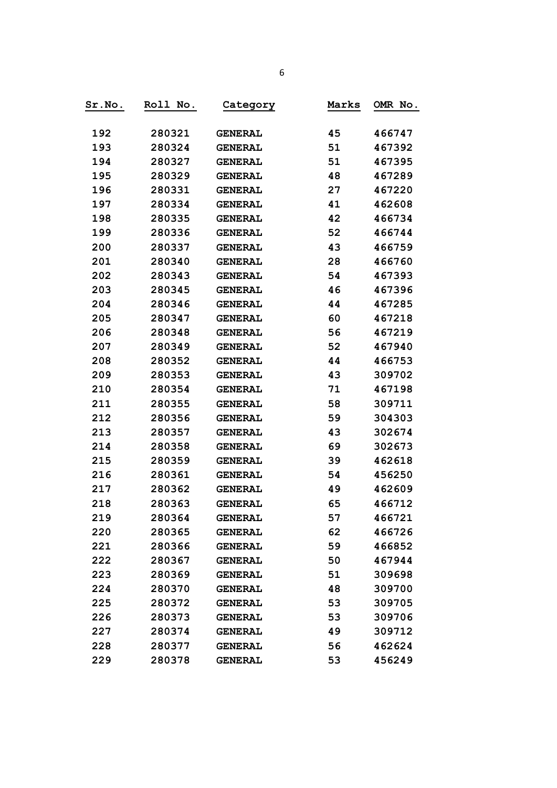| Sr.No. | Roll No. | Category       | Marks | OMR No. |
|--------|----------|----------------|-------|---------|
|        |          |                |       |         |
| 192    | 280321   | <b>GENERAL</b> | 45    | 466747  |
| 193    | 280324   | <b>GENERAL</b> | 51    | 467392  |
| 194    | 280327   | <b>GENERAL</b> | 51    | 467395  |
| 195    | 280329   | <b>GENERAL</b> | 48    | 467289  |
| 196    | 280331   | <b>GENERAL</b> | 27    | 467220  |
| 197    | 280334   | <b>GENERAL</b> | 41    | 462608  |
| 198    | 280335   | <b>GENERAL</b> | 42    | 466734  |
| 199    | 280336   | <b>GENERAL</b> | 52    | 466744  |
| 200    | 280337   | <b>GENERAL</b> | 43    | 466759  |
| 201    | 280340   | <b>GENERAL</b> | 28    | 466760  |
| 202    | 280343   | <b>GENERAL</b> | 54    | 467393  |
| 203    | 280345   | <b>GENERAL</b> | 46    | 467396  |
| 204    | 280346   | <b>GENERAL</b> | 44    | 467285  |
| 205    | 280347   | <b>GENERAL</b> | 60    | 467218  |
| 206    | 280348   | <b>GENERAL</b> | 56    | 467219  |
| 207    | 280349   | <b>GENERAL</b> | 52    | 467940  |
| 208    | 280352   | <b>GENERAL</b> | 44    | 466753  |
| 209    | 280353   | <b>GENERAL</b> | 43    | 309702  |
| 210    | 280354   | <b>GENERAL</b> | 71    | 467198  |
| 211    | 280355   | <b>GENERAL</b> | 58    | 309711  |
| 212    | 280356   | <b>GENERAL</b> | 59    | 304303  |
| 213    | 280357   | <b>GENERAL</b> | 43    | 302674  |
| 214    | 280358   | <b>GENERAL</b> | 69    | 302673  |
| 215    | 280359   | <b>GENERAL</b> | 39    | 462618  |
| 216    | 280361   | <b>GENERAL</b> | 54    | 456250  |
| 217    | 280362   | <b>GENERAL</b> | 49    | 462609  |
| 218    | 280363   | <b>GENERAL</b> | 65    | 466712  |
| 219    | 280364   | <b>GENERAL</b> | 57    | 466721  |
| 220    | 280365   | <b>GENERAL</b> | 62    | 466726  |
| 221    | 280366   | <b>GENERAL</b> | 59    | 466852  |
| 222    | 280367   | <b>GENERAL</b> | 50    | 467944  |
| 223    | 280369   | <b>GENERAL</b> | 51    | 309698  |
| 224    | 280370   | <b>GENERAL</b> | 48    | 309700  |
| 225    | 280372   | <b>GENERAL</b> | 53    | 309705  |
| 226    | 280373   | <b>GENERAL</b> | 53    | 309706  |
| 227    | 280374   | <b>GENERAL</b> | 49    | 309712  |
| 228    | 280377   | <b>GENERAL</b> | 56    | 462624  |
| 229    | 280378   | <b>GENERAL</b> | 53    | 456249  |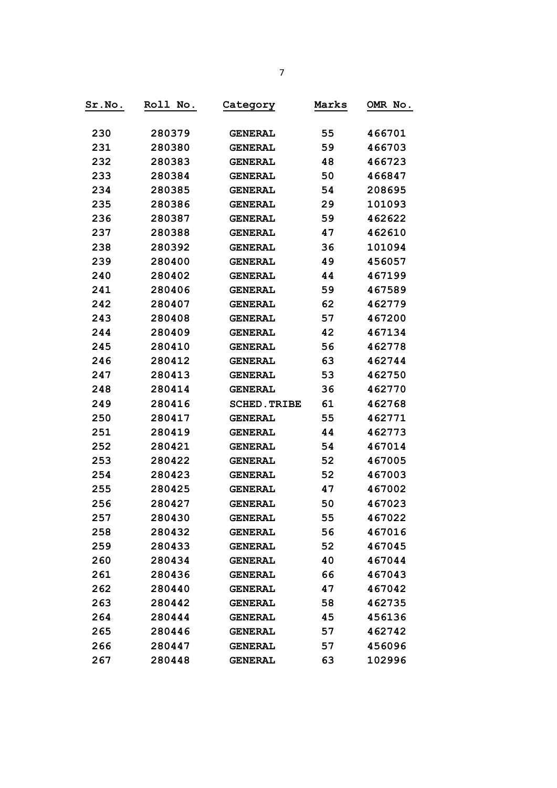| Sr.No. | Roll No. | Category            | Marks | OMR No. |
|--------|----------|---------------------|-------|---------|
| 230    | 280379   | <b>GENERAL</b>      | 55    | 466701  |
| 231    | 280380   | <b>GENERAL</b>      | 59    | 466703  |
| 232    | 280383   | <b>GENERAL</b>      | 48    | 466723  |
| 233    | 280384   | <b>GENERAL</b>      | 50    | 466847  |
| 234    | 280385   | <b>GENERAL</b>      | 54    | 208695  |
| 235    | 280386   | <b>GENERAL</b>      | 29    | 101093  |
| 236    | 280387   | <b>GENERAL</b>      | 59    | 462622  |
| 237    | 280388   | <b>GENERAL</b>      | 47    | 462610  |
| 238    | 280392   | <b>GENERAL</b>      | 36    | 101094  |
| 239    | 280400   | <b>GENERAL</b>      | 49    | 456057  |
| 240    | 280402   | <b>GENERAL</b>      | 44    | 467199  |
| 241    | 280406   | <b>GENERAL</b>      | 59    | 467589  |
| 242    | 280407   | <b>GENERAL</b>      | 62    | 462779  |
| 243    | 280408   | <b>GENERAL</b>      | 57    | 467200  |
| 244    | 280409   | <b>GENERAL</b>      | 42    | 467134  |
| 245    | 280410   | <b>GENERAL</b>      | 56    | 462778  |
| 246    | 280412   | <b>GENERAL</b>      | 63    | 462744  |
| 247    | 280413   | <b>GENERAL</b>      | 53    | 462750  |
| 248    | 280414   | <b>GENERAL</b>      | 36    | 462770  |
| 249    | 280416   | <b>SCHED. TRIBE</b> | 61    | 462768  |
| 250    | 280417   | <b>GENERAL</b>      | 55    | 462771  |
| 251    | 280419   | <b>GENERAL</b>      | 44    | 462773  |
| 252    | 280421   | <b>GENERAL</b>      | 54    | 467014  |
| 253    | 280422   | <b>GENERAL</b>      | 52    | 467005  |
| 254    | 280423   | <b>GENERAL</b>      | 52    | 467003  |
| 255    | 280425   | <b>GENERAL</b>      | 47    | 467002  |
| 256    | 280427   | <b>GENERAL</b>      | 50    | 467023  |
| 257    | 280430   | <b>GENERAL</b>      | 55    | 467022  |
| 258    | 280432   | <b>GENERAL</b>      | 56    | 467016  |
| 259    | 280433   | <b>GENERAL</b>      | 52    | 467045  |
| 260    | 280434   | <b>GENERAL</b>      | 40    | 467044  |
| 261    | 280436   | <b>GENERAL</b>      | 66    | 467043  |
| 262    | 280440   | <b>GENERAL</b>      | 47    | 467042  |
| 263    | 280442   | <b>GENERAL</b>      | 58    | 462735  |
| 264    | 280444   | <b>GENERAL</b>      | 45    | 456136  |
| 265    | 280446   | <b>GENERAL</b>      | 57    | 462742  |
| 266    | 280447   | <b>GENERAL</b>      | 57    | 456096  |
| 267    | 280448   | <b>GENERAL</b>      | 63    | 102996  |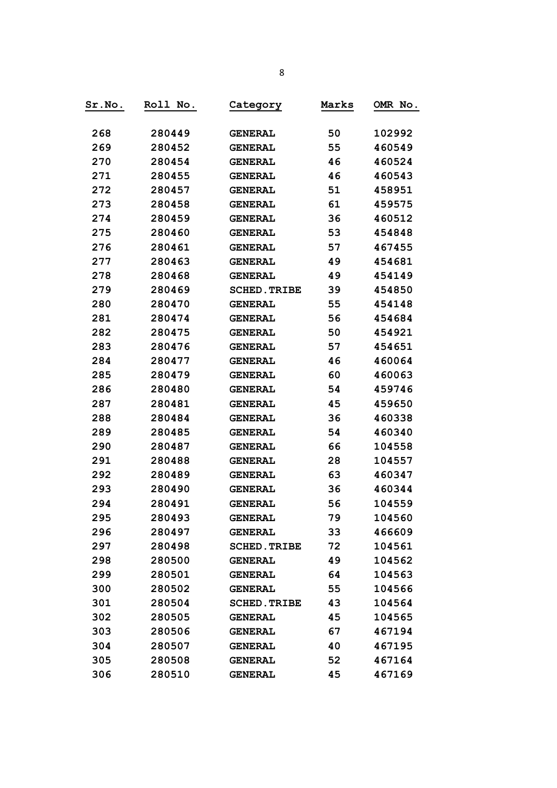| Sr.No. | Roll No. | <u>Category</u>     | Marks | OMR No. |
|--------|----------|---------------------|-------|---------|
| 268    | 280449   | <b>GENERAL</b>      | 50    | 102992  |
| 269    | 280452   | <b>GENERAL</b>      | 55    | 460549  |
| 270    | 280454   | <b>GENERAL</b>      | 46    | 460524  |
| 271    | 280455   | <b>GENERAL</b>      | 46    | 460543  |
| 272    | 280457   | <b>GENERAL</b>      | 51    | 458951  |
| 273    | 280458   | <b>GENERAL</b>      | 61    | 459575  |
| 274    | 280459   | <b>GENERAL</b>      | 36    | 460512  |
| 275    | 280460   | <b>GENERAL</b>      | 53    | 454848  |
| 276    | 280461   | <b>GENERAL</b>      | 57    | 467455  |
| 277    | 280463   | <b>GENERAL</b>      | 49    | 454681  |
| 278    | 280468   | <b>GENERAL</b>      | 49    | 454149  |
| 279    | 280469   | <b>SCHED. TRIBE</b> | 39    | 454850  |
| 280    | 280470   | <b>GENERAL</b>      | 55    | 454148  |
| 281    | 280474   | <b>GENERAL</b>      | 56    | 454684  |
| 282    | 280475   | <b>GENERAL</b>      | 50    | 454921  |
| 283    | 280476   | <b>GENERAL</b>      | 57    | 454651  |
| 284    | 280477   | <b>GENERAL</b>      | 46    | 460064  |
| 285    | 280479   | <b>GENERAL</b>      | 60    | 460063  |
| 286    | 280480   | <b>GENERAL</b>      | 54    | 459746  |
| 287    | 280481   | <b>GENERAL</b>      | 45    | 459650  |
| 288    | 280484   | <b>GENERAL</b>      | 36    | 460338  |
| 289    | 280485   | <b>GENERAL</b>      | 54    | 460340  |
| 290    | 280487   | <b>GENERAL</b>      | 66    | 104558  |
| 291    | 280488   | <b>GENERAL</b>      | 28    | 104557  |
| 292    | 280489   | <b>GENERAL</b>      | 63    | 460347  |
| 293    | 280490   | <b>GENERAL</b>      | 36    | 460344  |
| 294    | 280491   | <b>GENERAL</b>      | 56    | 104559  |
| 295    | 280493   | <b>GENERAL</b>      | 79    | 104560  |
| 296    | 280497   | <b>GENERAL</b>      | 33    | 466609  |
| 297    | 280498   | <b>SCHED. TRIBE</b> | 72    | 104561  |
| 298    | 280500   | <b>GENERAL</b>      | 49    | 104562  |
| 299    | 280501   | <b>GENERAL</b>      | 64    | 104563  |
| 300    | 280502   | <b>GENERAL</b>      | 55    | 104566  |
| 301    | 280504   | <b>SCHED. TRIBE</b> | 43    | 104564  |
| 302    | 280505   | <b>GENERAL</b>      | 45    | 104565  |
| 303    | 280506   | <b>GENERAL</b>      | 67    | 467194  |
| 304    | 280507   | <b>GENERAL</b>      | 40    | 467195  |
| 305    | 280508   | <b>GENERAL</b>      | 52    | 467164  |
| 306    | 280510   | <b>GENERAL</b>      | 45    | 467169  |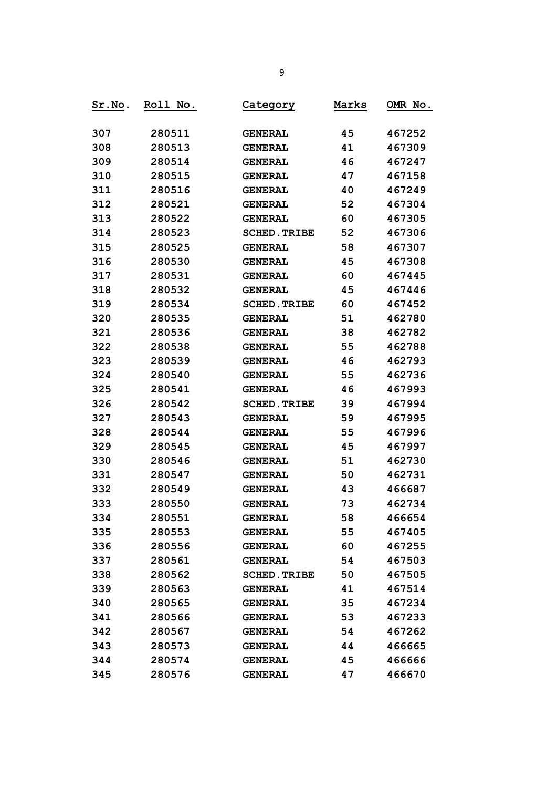| Sr.No. | Roll No. | Category            | Marks | OMR No. |
|--------|----------|---------------------|-------|---------|
| 307    | 280511   | <b>GENERAL</b>      | 45    | 467252  |
| 308    | 280513   | <b>GENERAL</b>      | 41    | 467309  |
| 309    | 280514   | <b>GENERAL</b>      | 46    | 467247  |
| 310    | 280515   | <b>GENERAL</b>      | 47    | 467158  |
| 311    | 280516   | <b>GENERAL</b>      | 40    | 467249  |
| 312    | 280521   | <b>GENERAL</b>      | 52    | 467304  |
| 313    | 280522   | <b>GENERAL</b>      | 60    | 467305  |
| 314    | 280523   | <b>SCHED. TRIBE</b> | 52    | 467306  |
| 315    | 280525   | <b>GENERAL</b>      | 58    | 467307  |
| 316    | 280530   | <b>GENERAL</b>      | 45    | 467308  |
| 317    | 280531   | <b>GENERAL</b>      | 60    | 467445  |
| 318    | 280532   | <b>GENERAL</b>      | 45    | 467446  |
| 319    | 280534   | <b>SCHED. TRIBE</b> | 60    | 467452  |
| 320    | 280535   | <b>GENERAL</b>      | 51    | 462780  |
| 321    | 280536   | <b>GENERAL</b>      | 38    | 462782  |
| 322    | 280538   | <b>GENERAL</b>      | 55    | 462788  |
| 323    | 280539   | <b>GENERAL</b>      | 46    | 462793  |
| 324    | 280540   | <b>GENERAL</b>      | 55    | 462736  |
| 325    | 280541   | <b>GENERAL</b>      | 46    | 467993  |
| 326    | 280542   | <b>SCHED. TRIBE</b> | 39    | 467994  |
| 327    | 280543   | <b>GENERAL</b>      | 59    | 467995  |
| 328    | 280544   | <b>GENERAL</b>      | 55    | 467996  |
| 329    | 280545   | <b>GENERAL</b>      | 45    | 467997  |
| 330    | 280546   | <b>GENERAL</b>      | 51    | 462730  |
| 331    | 280547   | <b>GENERAL</b>      | 50    | 462731  |
| 332    | 280549   | <b>GENERAL</b>      | 43    | 466687  |
| 333    | 280550   | <b>GENERAL</b>      | 73    | 462734  |
| 334    | 280551   | <b>GENERAL</b>      | 58    | 466654  |
| 335    | 280553   | <b>GENERAL</b>      | 55    | 467405  |
| 336    | 280556   | <b>GENERAL</b>      | 60    | 467255  |
| 337    | 280561   | <b>GENERAL</b>      | 54    | 467503  |
| 338    | 280562   | <b>SCHED. TRIBE</b> | 50    | 467505  |
| 339    | 280563   | <b>GENERAL</b>      | 41    | 467514  |
| 340    | 280565   | <b>GENERAL</b>      | 35    | 467234  |
| 341    | 280566   | <b>GENERAL</b>      | 53    | 467233  |
| 342    | 280567   | <b>GENERAL</b>      | 54    | 467262  |
| 343    | 280573   | <b>GENERAL</b>      | 44    | 466665  |
| 344    | 280574   | <b>GENERAL</b>      | 45    | 466666  |
| 345    | 280576   | <b>GENERAL</b>      | 47    | 466670  |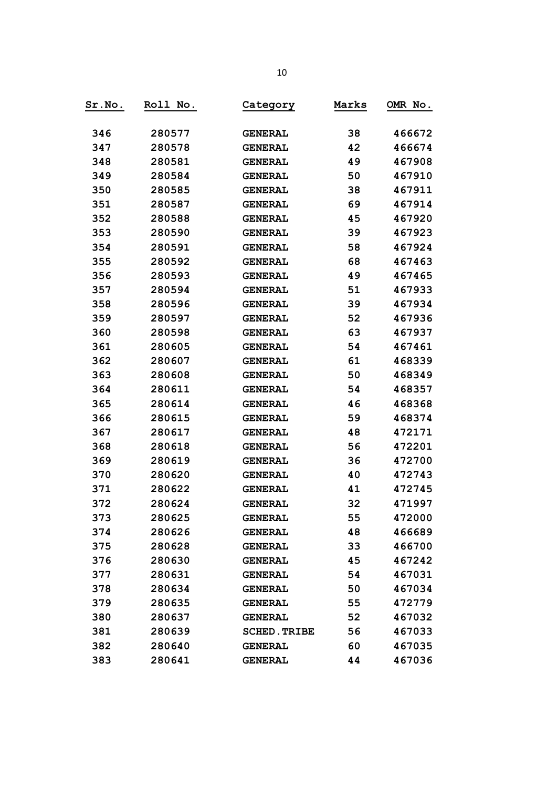| Sr.No. | Roll No. | Category            | Marks | OMR No. |
|--------|----------|---------------------|-------|---------|
| 346    | 280577   | <b>GENERAL</b>      | 38    | 466672  |
| 347    | 280578   | <b>GENERAL</b>      | 42    | 466674  |
| 348    | 280581   | <b>GENERAL</b>      | 49    | 467908  |
| 349    | 280584   | <b>GENERAL</b>      | 50    | 467910  |
| 350    | 280585   | <b>GENERAL</b>      | 38    | 467911  |
| 351    | 280587   | <b>GENERAL</b>      | 69    | 467914  |
| 352    | 280588   | <b>GENERAL</b>      | 45    | 467920  |
| 353    | 280590   | <b>GENERAL</b>      | 39    | 467923  |
| 354    | 280591   | <b>GENERAL</b>      | 58    | 467924  |
| 355    | 280592   | <b>GENERAL</b>      | 68    | 467463  |
| 356    | 280593   | <b>GENERAL</b>      | 49    | 467465  |
| 357    | 280594   | <b>GENERAL</b>      | 51    | 467933  |
| 358    | 280596   | <b>GENERAL</b>      | 39    | 467934  |
| 359    | 280597   | <b>GENERAL</b>      | 52    | 467936  |
| 360    | 280598   | <b>GENERAL</b>      | 63    | 467937  |
| 361    | 280605   | <b>GENERAL</b>      | 54    | 467461  |
| 362    | 280607   | <b>GENERAL</b>      | 61    | 468339  |
| 363    | 280608   | <b>GENERAL</b>      | 50    | 468349  |
| 364    | 280611   | <b>GENERAL</b>      | 54    | 468357  |
| 365    | 280614   | <b>GENERAL</b>      | 46    | 468368  |
| 366    | 280615   | <b>GENERAL</b>      | 59    | 468374  |
| 367    | 280617   | <b>GENERAL</b>      | 48    | 472171  |
| 368    | 280618   | <b>GENERAL</b>      | 56    | 472201  |
| 369    | 280619   | <b>GENERAL</b>      | 36    | 472700  |
| 370    | 280620   | <b>GENERAL</b>      | 40    | 472743  |
| 371    | 280622   | <b>GENERAL</b>      | 41    | 472745  |
| 372    | 280624   | <b>GENERAL</b>      | 32    | 471997  |
| 373    | 280625   | <b>GENERAL</b>      | 55    | 472000  |
| 374    | 280626   | <b>GENERAL</b>      | 48    | 466689  |
| 375    | 280628   | <b>GENERAL</b>      | 33    | 466700  |
| 376    | 280630   | <b>GENERAL</b>      | 45    | 467242  |
| 377    | 280631   | <b>GENERAL</b>      | 54    | 467031  |
| 378    | 280634   | <b>GENERAL</b>      | 50    | 467034  |
| 379    | 280635   | <b>GENERAL</b>      | 55    | 472779  |
| 380    | 280637   | <b>GENERAL</b>      | 52    | 467032  |
| 381    | 280639   | <b>SCHED. TRIBE</b> | 56    | 467033  |
| 382    | 280640   | <b>GENERAL</b>      | 60    | 467035  |
| 383    | 280641   | <b>GENERAL</b>      | 44    | 467036  |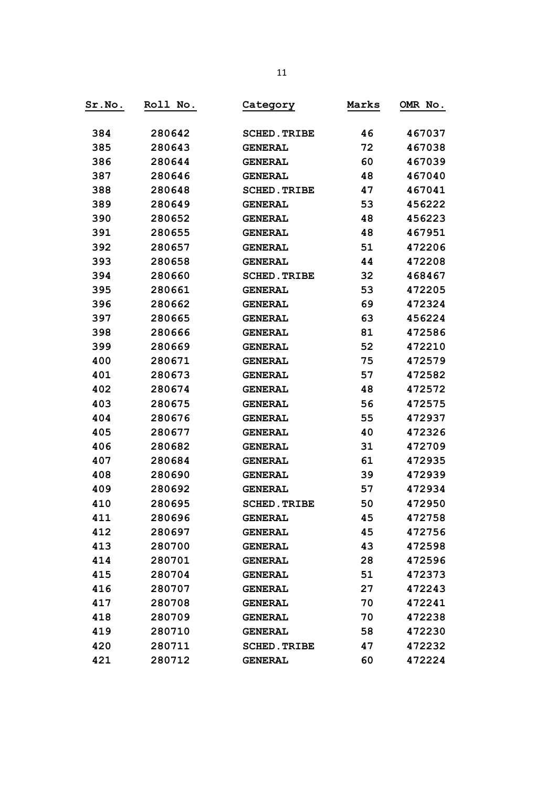| Sr.No. | Roll No. | Category            | Marks | OMR No. |
|--------|----------|---------------------|-------|---------|
| 384    | 280642   | <b>SCHED. TRIBE</b> | 46    | 467037  |
| 385    | 280643   | <b>GENERAL</b>      | 72    | 467038  |
| 386    | 280644   | <b>GENERAL</b>      | 60    | 467039  |
| 387    | 280646   | <b>GENERAL</b>      | 48    | 467040  |
| 388    | 280648   | <b>SCHED. TRIBE</b> | 47    | 467041  |
| 389    | 280649   | <b>GENERAL</b>      | 53    | 456222  |
| 390    | 280652   | <b>GENERAL</b>      | 48    | 456223  |
| 391    | 280655   | <b>GENERAL</b>      | 48    | 467951  |
| 392    | 280657   | <b>GENERAL</b>      | 51    | 472206  |
| 393    | 280658   | <b>GENERAL</b>      | 44    | 472208  |
| 394    | 280660   | <b>SCHED. TRIBE</b> | 32    | 468467  |
| 395    | 280661   | <b>GENERAL</b>      | 53    | 472205  |
| 396    | 280662   | <b>GENERAL</b>      | 69    | 472324  |
| 397    | 280665   | <b>GENERAL</b>      | 63    | 456224  |
| 398    | 280666   | <b>GENERAL</b>      | 81    | 472586  |
| 399    | 280669   | <b>GENERAL</b>      | 52    | 472210  |
| 400    | 280671   | <b>GENERAL</b>      | 75    | 472579  |
| 401    | 280673   | <b>GENERAL</b>      | 57    | 472582  |
| 402    | 280674   | <b>GENERAL</b>      | 48    | 472572  |
| 403    | 280675   | <b>GENERAL</b>      | 56    | 472575  |
| 404    | 280676   | <b>GENERAL</b>      | 55    | 472937  |
| 405    | 280677   | <b>GENERAL</b>      | 40    | 472326  |
| 406    | 280682   | <b>GENERAL</b>      | 31    | 472709  |
| 407    | 280684   | <b>GENERAL</b>      | 61    | 472935  |
| 408    | 280690   | <b>GENERAL</b>      | 39    | 472939  |
| 409    | 280692   | <b>GENERAL</b>      | 57    | 472934  |
| 410    | 280695   | <b>SCHED. TRIBE</b> | 50    | 472950  |
| 411    | 280696   | <b>GENERAL</b>      | 45    | 472758  |
| 412    | 280697   | <b>GENERAL</b>      | 45    | 472756  |
| 413    | 280700   | <b>GENERAL</b>      | 43    | 472598  |
| 414    | 280701   | <b>GENERAL</b>      | 28    | 472596  |
| 415    | 280704   | <b>GENERAL</b>      | 51    | 472373  |
| 416    | 280707   | <b>GENERAL</b>      | 27    | 472243  |
| 417    | 280708   | <b>GENERAL</b>      | 70    | 472241  |
| 418    | 280709   | <b>GENERAL</b>      | 70    | 472238  |
| 419    | 280710   | <b>GENERAL</b>      | 58    | 472230  |
| 420    | 280711   | <b>SCHED. TRIBE</b> | 47    | 472232  |
| 421    | 280712   | <b>GENERAL</b>      | 60    | 472224  |